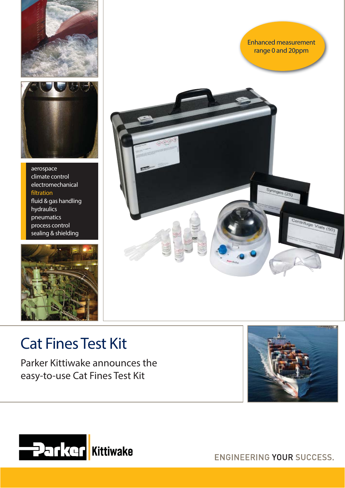

aerospace climate control electromechanical filtration fluid & gas handling hydraulics pneumatics process control sealing & shielding





# Cat Fines Test Kit

Parker Kittiwake announces the easy-to-use Cat Fines Test Kit





ENGINEERING YOUR SUCCESS.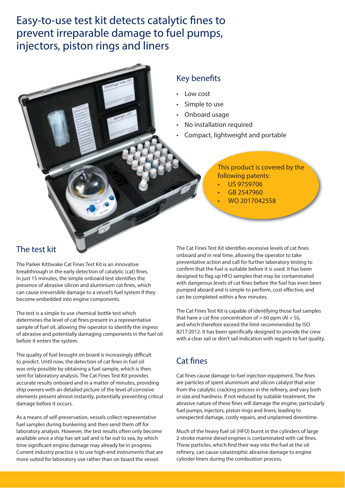## Easy-to-use test kit detects catalytic fines to prevent irreparable damage to fuel pumps, injectors, piston rings and liners

## Key benefits

- Low cost
- Simple to use
- Onboard usage
- No installation required
- Compact, lightweight and portable

### This product is covered by the following patents:

- US 9759706
- GB 2547960
- WO 2017042558

The Parker Kittiwake Cat Fines Test Kit is an innovative breakthrough in the early detection of catalytic (cat) fines. In just 15 minutes, the simple onboard test identifies the presence of abrasive silicon and aluminium cat fines, which can cause irreversible damage to a vessel's fuel system if they become embedded into engine components.

The test is a simple to use chemical bottle test which determines the level of cat fines present in a representative sample of fuel oil, allowing the operator to identify the ingress of abrasive and potentially damaging components in the fuel oil before it enters the system.

The quality of fuel brought on board is increasingly difficult to predict. Until now, the detection of cat fines in fuel oil was only possible by obtaining a fuel sample, which is then sent for laboratory analysis. The Cat Fines Test Kit provides accurate results onboard and in a matter of minutes, providing ship owners with an detailed picture of the level of corrosive elements present almost instantly, potentially preventing critical damage before it occurs.

As a means of self-preservation, vessels collect representative fuel samples during bunkering and then send them off for laboratory analysis. However, the test results often only become available once a ship has set sail and is far out to sea, by which time significant engine damage may already be in progress. Current industry practice is to use high-end instruments that are more suited for laboratory use rather than on board the vessel.

The test kit The Cat Fines Test Kit identifies excessive levels of cat fines onboard and in real time, allowing the operator to take preventative action and call for further laboratory testing to confirm that the fuel is suitable before it is used. It has been designed to flag up HFO samples that may be contaminated with dangerous levels of cat fines before the fuel has even been pumped aboard and is simple to perform, cost effective, and can be completed within a few minutes.

> The Cat Fines Test Kit is capable of identifying those fuel samples that have a cat fine concentration of  $> 60$  ppm (Al + Si), and which therefore exceed the limit recommended by ISO 8217:2012. It has been specifically designed to provide the crew with a clear sail or don't sail indication with regards to fuel quality.

## Cat fines

Cat fines cause damage to fuel injection equipment. The fines are particles of spent aluminium and silicon catalyst that arise from the catalytic cracking process in the refinery, and vary both in size and hardness. If not reduced by suitable treatment, the abrasive nature of these fines will damage the engine, particularly fuel pumps, injectors, piston rings and liners, leading to unexpected damage, costly repairs, and unplanned downtime.

Much of the heavy fuel oil (HFO) burnt in the cylinders of large 2-stroke marine diesel engines is contaminated with cat fines. These particles, which find their way into the fuel at the oil refinery, can cause catastrophic abrasive damage to engine cylinder liners during the combustion process.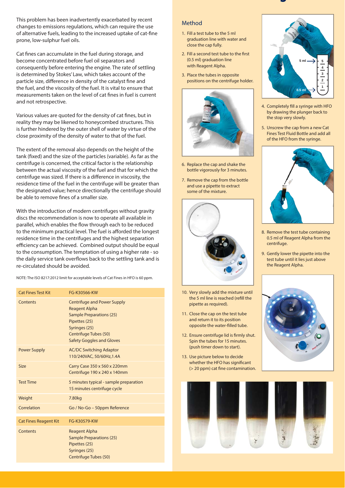This problem has been inadvertently exacerbated by recent changes to emissions regulations, which can require the use of alternative fuels, leading to the increased uptake of cat-fine prone, low-sulphur fuel oils.

Cat fines can accumulate in the fuel during storage, and become concentrated before fuel oil separators and consequently before entering the engine. The rate of settling is determined by Stokes' Law, which takes account of the particle size, difference in density of the catalyst fine and the fuel, and the viscosity of the fuel. It is vital to ensure that measurements taken on the level of cat fines in fuel is current and not retrospective.

Various values are quoted for the density of cat fines, but in reality they may be likened to honeycombed structures. This is further hindered by the outer shell of water by virtue of the close proximity of the density of water to that of the fuel.

The extent of the removal also depends on the height of the tank (fixed) and the size of the particles (variable). As far as the centrifuge is concerned, the critical factor is the relationship between the actual viscosity of the fuel and that for which the centrifuge was sized. If there is a difference in viscosity, the residence time of the fuel in the centrifuge will be greater than the designated value; hence directionally the centrifuge should be able to remove fines of a smaller size.

With the introduction of modern centrifuges without gravity discs the recommendation is now to operate all available in parallel, which enables the flow through each to be reduced to the minimum practical level. The fuel is afforded the longest residence time in the centrifuges and the highest separation efficiency can be achieved. Combined output should be equal to the consumption. The temptation of using a higher rate - so the daily service tank overflows back to the settling tank and is re-circulated should be avoided.

NOTE: The ISO 8217:2012 limit for acceptable levels of Cat Fines in HFO is 60 ppm.

| <b>Cat Fines Test Kit</b>    | FG-K30566-KW                                                                                                                                                                                 |
|------------------------------|----------------------------------------------------------------------------------------------------------------------------------------------------------------------------------------------|
| Contents                     | <b>Centrifuge and Power Supply</b><br><b>Reagent Alpha</b><br><b>Sample Preparations (25)</b><br>Pipettes (25)<br>Syringes (25)<br>Centrifuge Tubes (50)<br><b>Safety Goggles and Gloves</b> |
| <b>Power Supply</b>          | <b>AC/DC Switching Adaptor</b><br>110/240VAC, 50/60Hz, 1.4A                                                                                                                                  |
| <b>Size</b>                  | Carry Case 350 x 560 x 220mm<br>Centrifuge 190 x 240 x 140mm                                                                                                                                 |
| <b>Test Time</b>             | 5 minutes typical - sample preparation<br>15 minutes centrifuge cycle                                                                                                                        |
| Weight                       | 7.80 <sub>kg</sub>                                                                                                                                                                           |
| Correlation                  | Go / No-Go - 50ppm Reference                                                                                                                                                                 |
| <b>Cat Fines Reagent Kit</b> | FG-K30579-KW                                                                                                                                                                                 |
| Contents                     | <b>Reagent Alpha</b><br><b>Sample Preparations (25)</b><br>Pipettes (25)<br>Syringes (25)<br>Centrifuge Tubes (50)                                                                           |

#### Method

- 1. Fill a test tube to the 5 ml graduation line with water and close the cap fully.
- 2. Fill a second test tube to the first (0.5 ml) graduation line with Reagent Alpha.
- 3. Place the tubes in opposite positions on the centrifuge holder.



- 6. Replace the cap and shake the bottle vigorously for 3 minutes.
- 7. Remove the cap from the bottle and use a pipette to extract some of the mixture.



- 10. Very slowly add the mixture until the 5 ml line is reached (refill the pipette as required).
- 11. Close the cap on the test tube and return it to its position opposite the water-filled tube.
- 12. Ensure centrifuge lid is firmly shut. Spin the tubes for 15 minutes. (push timer down to start).
- 13. Use picture below to decide whether the HFO has significant (> 20 ppm) cat fine contamination.



**g**

- 4. Completely fill a syringe with HFO by drawing the plunger back to the stop very slowly.
- 5. Unscrew the cap from a new Cat Fines Test Fluid Bottle and add all of the HFO from the syringe.



- 8. Remove the test tube containing 0.5 ml of Reagent Alpha from the centrifuge.
- 9. Gently lower the pipette into the test tube until it lies just above the Reagent Alpha.